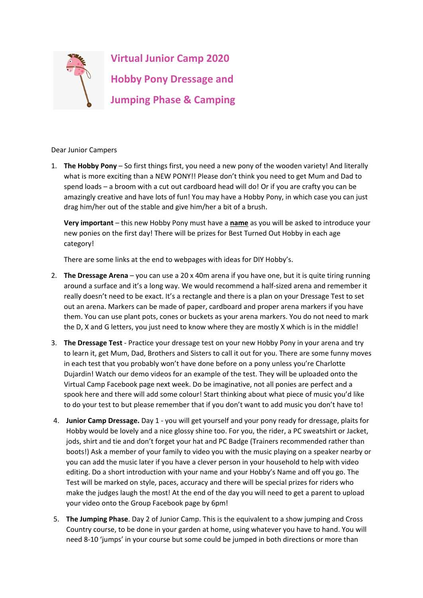

Dear Junior Campers

1. **The Hobby Pony** – So first things first, you need a new pony of the wooden variety! And literally what is more exciting than a NEW PONY!! Please don't think you need to get Mum and Dad to spend loads – a broom with a cut out cardboard head will do! Or if you are crafty you can be amazingly creative and have lots of fun! You may have a Hobby Pony, in which case you can just drag him/her out of the stable and give him/her a bit of a brush.

**Very important** – this new Hobby Pony must have a **name** as you will be asked to introduce your new ponies on the first day! There will be prizes for Best Turned Out Hobby in each age category!

There are some links at the end to webpages with ideas for DIY Hobby's.

- 2. **The Dressage Arena** you can use a 20 x 40m arena if you have one, but it is quite tiring running around a surface and it's a long way. We would recommend a half-sized arena and remember it really doesn't need to be exact. It's a rectangle and there is a plan on your Dressage Test to set out an arena. Markers can be made of paper, cardboard and proper arena markers if you have them. You can use plant pots, cones or buckets as your arena markers. You do not need to mark the D, X and G letters, you just need to know where they are mostly X which is in the middle!
- 3. **The Dressage Test** Practice your dressage test on your new Hobby Pony in your arena and try to learn it, get Mum, Dad, Brothers and Sisters to call it out for you. There are some funny moves in each test that you probably won't have done before on a pony unless you're Charlotte Dujardin! Watch our demo videos for an example of the test. They will be uploaded onto the Virtual Camp Facebook page next week. Do be imaginative, not all ponies are perfect and a spook here and there will add some colour! Start thinking about what piece of music you'd like to do your test to but please remember that if you don't want to add music you don't have to!
- 4. **Junior Camp Dressage.** Day 1 you will get yourself and your pony ready for dressage, plaits for Hobby would be lovely and a nice glossy shine too. For you, the rider, a PC sweatshirt or Jacket, jods, shirt and tie and don't forget your hat and PC Badge (Trainers recommended rather than boots!) Ask a member of your family to video you with the music playing on a speaker nearby or you can add the music later if you have a clever person in your household to help with video editing. Do a short introduction with your name and your Hobby's Name and off you go. The Test will be marked on style, paces, accuracy and there will be special prizes for riders who make the judges laugh the most! At the end of the day you will need to get a parent to upload your video onto the Group Facebook page by 6pm!
- 5. **The Jumping Phase**. Day 2 of Junior Camp. This is the equivalent to a show jumping and Cross Country course, to be done in your garden at home, using whatever you have to hand. You will need 8-10 'jumps' in your course but some could be jumped in both directions or more than